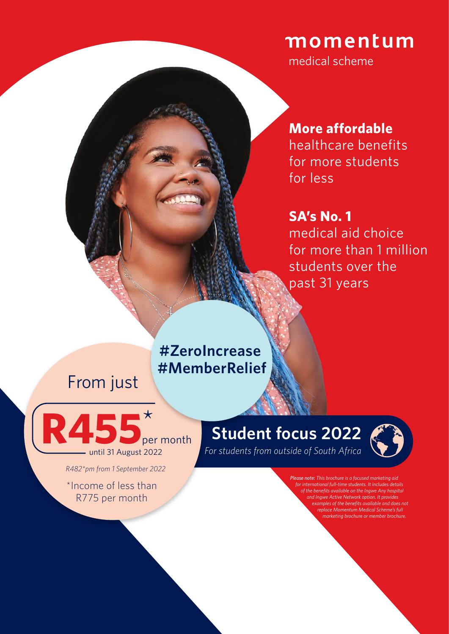## momentum

medical scheme

## **More affordable**

healthcare benefits for more students for less

## **SA's No. 1**

medical aid choice for more than 1 million students over the past 31 years

## **#ZeroIncrease #MemberRelief**

## From just



*R482\*pm from 1 September 2022*

\*Income of less than R775 per month

## **Student focus 2022**



*For students from outside of South Africa*

*Please note: This brochure is a focused marketing aid for international full-time students. It includes details of the benefits available on the Ingwe Any hospital and Ingwe Active Network option. It provides examples of the benefits available and does not replace Momentum Medical Scheme's full marketing brochure or member brochure.*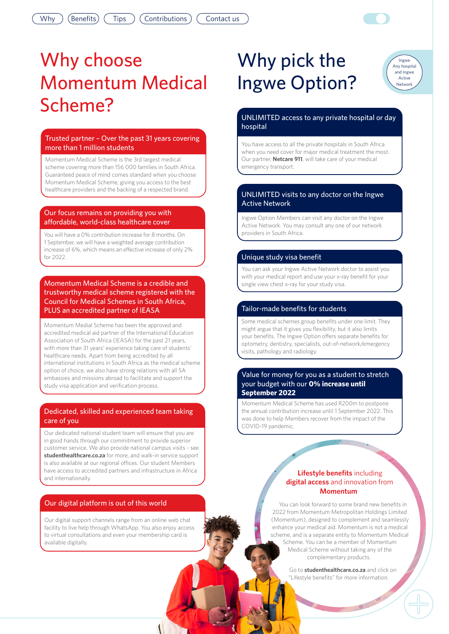# Why choose Momentum Medical Scheme?

### Trusted partner – Over the past 31 years covering more than 1 million students

Momentum Medical Scheme is the 3rd largest medical scheme covering more than 156 000 families in South Africa. Guaranteed peace of mind comes standard when you choose Momentum Medical Scheme, giving you access to the best healthcare providers and the backing of a respected brand.

#### Our focus remains on providing you with affordable, world-class healthcare cover

You will have a 0% contribution increase for 8 months. On 1 September, we will have a weighted average contribution increase of 6%, which means an effective increase of only 2% for 2022.

Momentum Medical Scheme is a credible and trustworthy medical scheme registered with the Council for Medical Schemes in South Africa, PLUS an accredited partner of IEASA

Momentum Medial Scheme has been the approved and accredited medical aid partner of the International Education Association of South Africa (IEASA) for the past 21 years, with more than 31 years' experience taking care of students' healthcare needs. Apart from being accredited by all international institutions in South Africa as the medical scheme option of choice, we also have strong relations with all SA embassies and missions abroad to facilitate and support the study visa application and verification process.

### Dedicated, skilled and experienced team taking care of you

Our dedicated national student team will ensure that you are in good hands through our commitment to provide superior customer service. We also provide national campus visits - see **[studenthealthcare.co.za](http://studenthealthcare.co.za)**for more, and walk-in service support is also available at our regional offices. Our student Members have access to accredited partners and infrastructure in Africa and internationally.

### Our digital platform is out of this world

Our digital support channels range from an online web chat facility to live help through WhatsApp. You also enjoy access to virtual consultations and even your membership card is available digitally.

## Why pick the Ingwe Option?

#### Ingwe Any hospital and Ingwe Active Network

### UNLIMITED access to any private hospital or day hospital

You have access to all the private hospitals in South Africa when you need cover for major medical treatment the most. Our partner, **Netcare 911**, will take care of your medical emergency transport.

### UNLIMITED visits to any doctor on the Ingwe Active Network

Ingwe Option Members can visit any doctor on the Ingwe Active Network. You may consult any one of our network providers in South Africa.

### Unique study visa benefit

You can ask your Ingwe Active Network doctor to assist you with your medical report and use your x-ray benefit for your single view chest x-ray for your study visa.

### Tailor-made benefits for students

Some medical schemes group benefits under one limit. They might argue that it gives you flexibility, but it also limits your benefits. The Ingwe Option offers separate benefits for optometry, dentistry, specialists, out-of-network/emergency visits, pathology and radiology.

#### Value for money for you as a student to stretch your budget with our **0% increase until September 2022**

Momentum Medical Scheme has used R200m to postpone the annual contribution increase until 1 September 2022. This was done to help Members recover from the impact of the COVID-19 pandemic.

### **Lifestyle benefits** including **digital access** and innovation from **Momentum**

You can look forward to some brand new benefits in 2022 from Momentum Metropolitan Holdings Limited (Momentum), designed to complement and seamlessly enhance your medical aid. Momentum is not a medical scheme, and is a separate entity to Momentum Medical Scheme. You can be a member of Momentum Medical Scheme without taking any of the complementary products.

> Go to **[studenthealthcare.co.za](http://studenthealthcare.co.za)** and click on "Lifestyle benefits" for more information.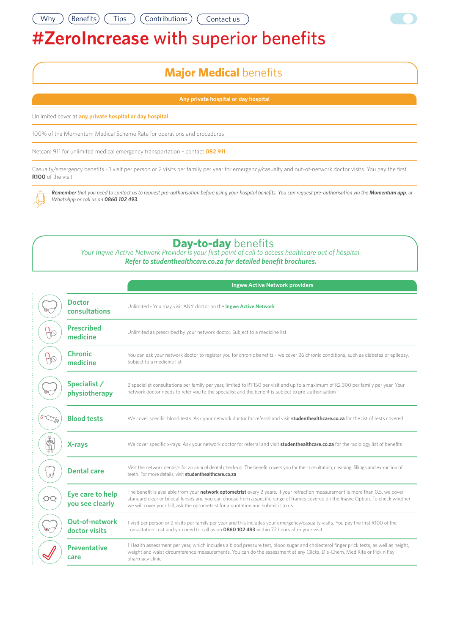## **#ZeroIncrease** with superior benefits

### **Major Medical** benefits

**Any private hospital or day hospital**

Unlimited cover at **any private hospital or day hospital**

100% of the Momentum Medical Scheme Rate for operations and procedures

Netcare 911 for unlimited medical emergency transportation – contact **082 911**

Casualty/emergency benefits - 1 visit per person or 2 visits per family per year for emergency/casualty and out-of-network doctor visits. You pay the first **R100** of the visit

*Remember that you need to contact us to request pre-authorisation before using your hospital benefits. You can request pre-authorisation via the Momentum app, or WhatsApp or call us on 0860 102 493.*

### **Day-to-day** benefits

*Your Ingwe Active Network Provider is your first point of call to access healthcare out of hospital. Refer to [studenthealthcare.co.za](http://studenthealthcare.co.za) for detailed benefit brochures.* 

|          |                                        | <b>Ingwe Active Network providers</b>                                                                                                                                                                                                                                                                                                                           |  |  |
|----------|----------------------------------------|-----------------------------------------------------------------------------------------------------------------------------------------------------------------------------------------------------------------------------------------------------------------------------------------------------------------------------------------------------------------|--|--|
|          | <b>Doctor</b><br>consultations         | Unlimited - You may visit ANY doctor on the Ingwe Active Network                                                                                                                                                                                                                                                                                                |  |  |
|          | <b>Prescribed</b><br>medicine          | Unlimited as prescribed by your network doctor. Subject to a medicine list                                                                                                                                                                                                                                                                                      |  |  |
|          | <b>Chronic</b><br>medicine             | You can ask your network doctor to register you for chronic benefits - we cover 26 chronic conditions, such as diabetes or epilepsy.<br>Subject to a medicine list                                                                                                                                                                                              |  |  |
|          | Specialist /<br>physiotherapy          | 2 specialist consultations per family per year, limited to R1150 per visit and up to a maximum of R2 300 per family per year. Your<br>network doctor needs to refer you to the specialist and the benefit is subject to pre-authorisation                                                                                                                       |  |  |
|          | <b>Blood tests</b>                     | We cover specific blood tests. Ask your network doctor for referral and visit studenthealthcare.co.za for the list of tests covered                                                                                                                                                                                                                             |  |  |
|          | X-rays                                 | We cover specific x-rays. Ask your network doctor for referral and visit <b>studenthealthcare.co.za</b> for the radiology list of benefits                                                                                                                                                                                                                      |  |  |
| $\wedge$ | <b>Dental care</b>                     | Visit the network dentists for an annual dental check-up. The benefit covers you for the consultation, cleaning, fillings and extraction of<br>teeth. For more details, visit studenthealthcare.co.za                                                                                                                                                           |  |  |
| ОC       | Eye care to help<br>you see clearly    | The benefit is available from your <i>network</i> optometrist every 2 years. If your refraction measurement is more than 0.5, we cover<br>standard clear or bifocal lenses and you can choose from a specific range of frames covered on the Ingwe Option. To check whether<br>we will cover your bill, ask the optometrist for a quotation and submit it to us |  |  |
|          | <b>Out-of-network</b><br>doctor visits | 1 visit per person or 2 visits per family per year and this includes your emergency/casualty visits. You pay the first R100 of the<br>consultation cost and you need to call us on 0860 102 493 within 72 hours after your visit                                                                                                                                |  |  |
|          | <b>Preventative</b><br>care            | 1 Health assessment per year, which includes a blood pressure test, blood sugar and cholesterol finger prick tests, as well as height,<br>weight and waist circumference measurements. You can do the assessment at any Clicks, Dis-Chem, MediRite or Pick n Pay<br>pharmacy clinic                                                                             |  |  |